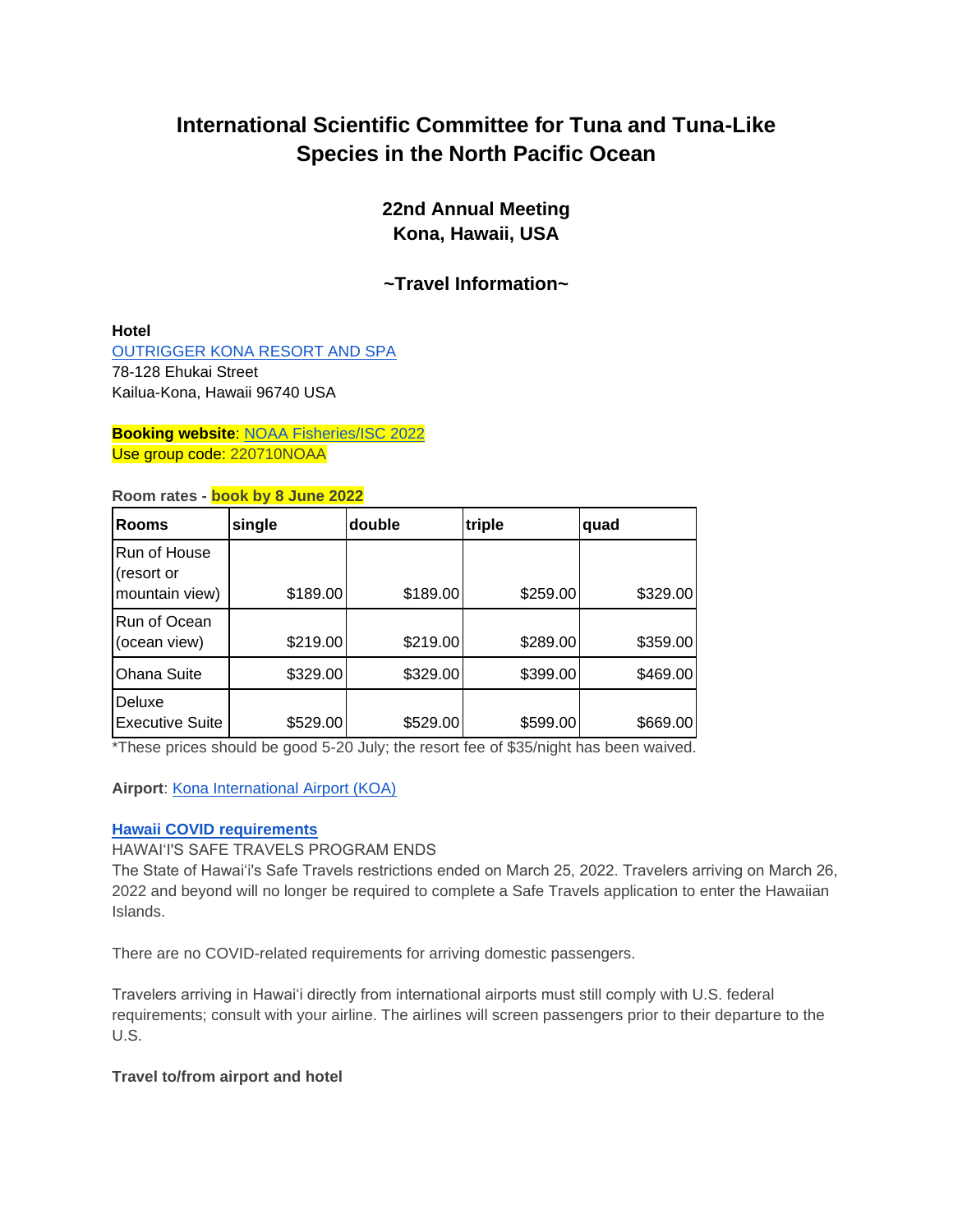# **International Scientific Committee for Tuna and Tuna-Like Species in the North Pacific Ocean**

**22nd Annual Meeting Kona, Hawaii, USA**

**~Travel Information~**

## **Hotel**

[OUTRIGGER KONA RESORT AND SPA](https://www.outrigger.com/hotels-resorts/hawaii/hawaii-island/outrigger-kona-resort-and-spa) 78-128 Ehukai Street Kailua-Kona, Hawaii 96740 USA

**Booking website**: [NOAA Fisheries/ISC 2022](https://reservations.outrigger.com/?adult=1&arrive=2022-07-08&chain=18497&child=0¤cy=USD&depart=2022-07-20&group=220710NOAA&hotel=10827&level=hotel&locale=en-US&rooms=1) Use group code: 220710NOAA

## **Room rates - book by 8 June 2022**

| <b>Rooms</b>                      | single   | double   | triple   | quad     |
|-----------------------------------|----------|----------|----------|----------|
| Run of House<br>(resort or        |          |          |          |          |
| mountain view)                    | \$189.00 | \$189.00 | \$259.00 | \$329.00 |
| Run of Ocean<br>(ocean view)      | \$219.00 | \$219.00 | \$289.00 | \$359.00 |
| <b>Ohana Suite</b>                | \$329.00 | \$329.00 | \$399.00 | \$469.00 |
| <b>IDeluxe</b><br>Executive Suite | \$529.00 | \$529.00 | \$599.00 | \$669.00 |

\*These prices should be good 5-20 July; the resort fee of \$35/night has been waived.

# **Airport**: [Kona International Airport \(KOA\)](http://airports.hawaii.gov/koa/)

#### **[Hawaii COVID requirements](https://www.hawaiitourismauthority.org/covid-19-updates/)**

HAWAI'I'S SAFE TRAVELS PROGRAM ENDS

The State of Hawai'i's Safe Travels restrictions ended on March 25, 2022. Travelers arriving on March 26, 2022 and beyond will no longer be required to complete a Safe Travels application to enter the Hawaiian Islands.

There are no COVID-related requirements for arriving domestic passengers.

Travelers arriving in Hawai'i directly from international airports must still comply with U.S. federal requirements; consult with your airline. The airlines will screen passengers prior to their departure to the U.S.

# **Travel to/from airport and hotel**